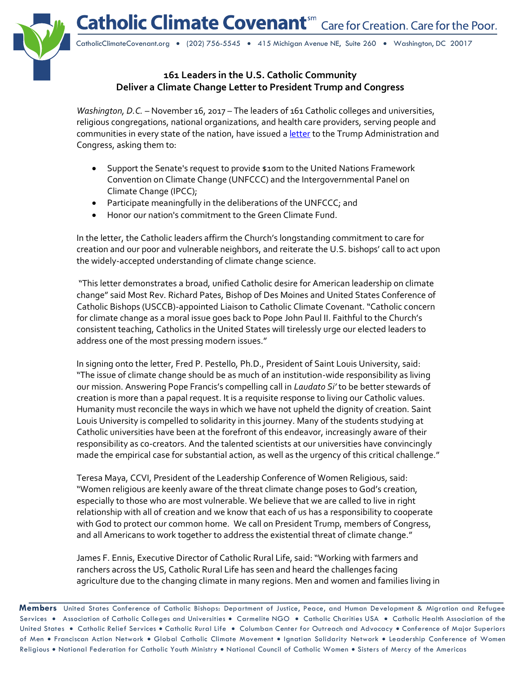**Catholic Climate Covenant**<sup>sm</sup> Care for Creation. Care for the Poor.



CatholicClimateCovenant.org • (202) 756-5545 • 415 Michigan Avenue NE, Suite 260 • Washington, DC 20017

## **161 Leaders in the U.S. Catholic Community Deliver a Climate Change Letter to President Trump and Congress**

*Washington, D.C. -* November 16, 2017 - The leaders of 161 Catholic colleges and universities, religious congregations, national organizations, and health care providers, serving people and communities in every state of the nation, have issued a [letter](http://www.catholicclimatecovenant.org/press-release/letter-to-president-trump-and-members-of-united-states-congress) to the Trump Administration and Congress, asking them to:

- Support the Senate's request to provide \$10m to the United Nations Framework Convention on Climate Change (UNFCCC) and the Intergovernmental Panel on Climate Change (IPCC);
- Participate meaningfully in the deliberations of the UNFCCC; and
- Honor our nation's commitment to the Green Climate Fund.

In the letter, the Catholic leaders affirm the Church's longstanding commitment to care for creation and our poor and vulnerable neighbors, and reiterate the U.S. bishops' call to act upon the widely-accepted understanding of climate change science.

"This letter demonstrates a broad, unified Catholic desire for American leadership on climate change" said Most Rev. Richard Pates, Bishop of Des Moines and United States Conference of Catholic Bishops (USCCB)-appointed Liaison to Catholic Climate Covenant. "Catholic concern for climate change as a moral issue goes back to Pope John Paul II. Faithful to the Church's consistent teaching, Catholics in the United States will tirelessly urge our elected leaders to address one of the most pressing modern issues."

In signing onto the letter, Fred P. Pestello, Ph.D., President of Saint Louis University, said: "The issue of climate change should be as much of an institution-wide responsibility as living our mission. Answering Pope Francis's compelling call in *Laudato Si'* to be better stewards of creation is more than a papal request. It is a requisite response to living our Catholic values. Humanity must reconcile the ways in which we have not upheld the dignity of creation. Saint Louis University is compelled to solidarity in this journey. Many of the students studying at Catholic universities have been at the forefront of this endeavor, increasingly aware of their responsibility as co-creators. And the talented scientists at our universities have convincingly made the empirical case for substantial action, as well as the urgency of this critical challenge."

Teresa Maya, CCVI, President of the Leadership Conference of Women Religious, said: "Women religious are keenly aware of the threat climate change poses to God's creation, especially to those who are most vulnerable. We believe that we are called to live in right relationship with all of creation and we know that each of us has a responsibility to cooperate with God to protect our common home. We call on President Trump, members of Congress, and all Americans to work together to address the existential threat of climate change."

James F. Ennis, Executive Director of Catholic Rural Life, said: "Working with farmers and ranchers across the US, Catholic Rural Life has seen and heard the challenges facing agriculture due to the changing climate in many regions. Men and women and families living in

**Members** United States Conference of Catholic Bishops: Department of Justice, Peace, and Human Development & Migration and Refugee Services . Association of Catholic Colleges and Universities . Carmelite NGO . Catholic Charities USA . Catholic Health Association of the United States . Catholic Relief Services . Catholic Rural Life . Columban Center for Outreach and Advocacy . Conference of Major Superiors of Men • Franciscan Action Network • Global Catholic Climate Movement • Ignatian Solidarity Network • Leadership Conference of Women Religious • National Federation for Catholic Youth Ministry • National Council of Catholic Women • Sisters of Mercy of the Americas